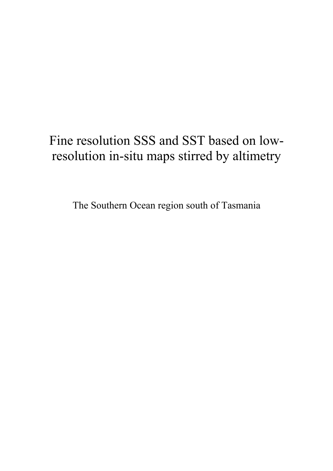# Fine resolution SSS and SST based on lowresolution in-situ maps stirred by altimetry

The Southern Ocean region south of Tasmania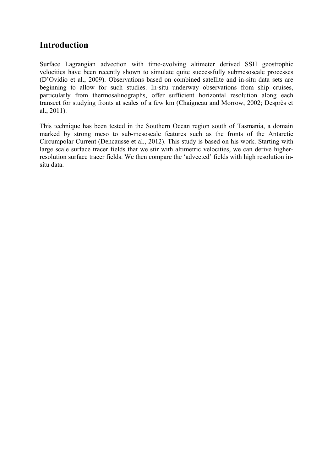## **Introduction**

Surface Lagrangian advection with time-evolving altimeter derived SSH geostrophic velocities have been recently shown to simulate quite successfully submesoscale processes (D'Ovidio et al., 2009). Observations based on combined satellite and in-situ data sets are beginning to allow for such studies. In-situ underway observations from ship cruises, particularly from thermosalinographs, offer sufficient horizontal resolution along each transect for studying fronts at scales of a few km (Chaigneau and Morrow, 2002; Desprès et al., 2011).

This technique has been tested in the Southern Ocean region south of Tasmania, a domain marked by strong meso to sub-mesoscale features such as the fronts of the Antarctic Circumpolar Current (Dencausse et al., 2012). This study is based on his work. Starting with large scale surface tracer fields that we stir with altimetric velocities, we can derive higherresolution surface tracer fields. We then compare the 'advected' fields with high resolution insitu data.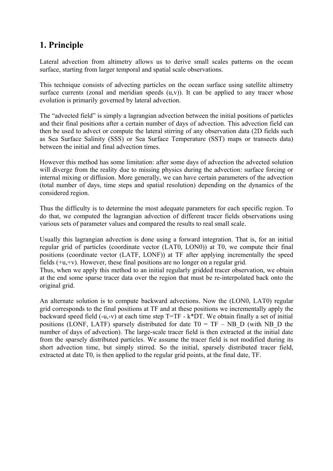# **1. Principle**

Lateral advection from altimetry allows us to derive small scales patterns on the ocean surface, starting from larger temporal and spatial scale observations.

This technique consists of advecting particles on the ocean surface using satellite altimetry surface currents (zonal and meridian speeds  $(u,v)$ ). It can be applied to any tracer whose evolution is primarily governed by lateral advection.

The "advected field" is simply a lagrangian advection between the initial positions of particles and their final positions after a certain number of days of advection. This advection field can then be used to advect or compute the lateral stirring of any observation data (2D fields such as Sea Surface Salinity (SSS) or Sea Surface Temperature (SST) maps or transects data) between the initial and final advection times.

However this method has some limitation: after some days of advection the advected solution will diverge from the reality due to missing physics during the advection: surface forcing or internal mixing or diffusion. More generally, we can have certain parameters of the advection (total number of days, time steps and spatial resolution) depending on the dynamics of the considered region.

Thus the difficulty is to determine the most adequate parameters for each specific region. To do that, we computed the lagrangian advection of different tracer fields observations using various sets of parameter values and compared the results to real small scale.

Usually this lagrangian advection is done using a forward integration. That is, for an initial regular grid of particles (coordinate vector (LAT0, LON0)) at T0, we compute their final positions (coordinate vector (LATF, LONF)) at TF after applying incrementally the speed fields  $(+u, +v)$ . However, these final positions are no longer on a regular grid.

Thus, when we apply this method to an initial regularly gridded tracer observation, we obtain at the end some sparse tracer data over the region that must be re-interpolated back onto the original grid.

An alternate solution is to compute backward advections. Now the (LON0, LAT0) regular grid corresponds to the final positions at TF and at these positions we incrementally apply the backward speed field (-u,-v) at each time step T=TF - k\*DT. We obtain finally a set of initial positions (LONF, LATF) sparsely distributed for date  $T0 = TF - NB$  D (with NB D the number of days of advection). The large-scale tracer field is then extracted at the initial date from the sparsely distributed particles. We assume the tracer field is not modified during its short advection time, but simply stirred. So the initial, sparsely distributed tracer field, extracted at date T0, is then applied to the regular grid points, at the final date, TF.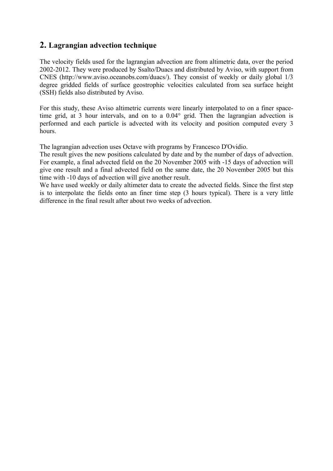## **2. Lagrangian advection technique**

The velocity fields used for the lagrangian advection are from altimetric data, over the period 2002-2012. They were produced by Ssalto/Duacs and distributed by Aviso, with support from CNES (http://www.aviso.oceanobs.com/duacs/). They consist of weekly or daily global 1/3 degree gridded fields of surface geostrophic velocities calculated from sea surface height (SSH) fields also distributed by Aviso.

For this study, these Aviso altimetric currents were linearly interpolated to on a finer spacetime grid, at 3 hour intervals, and on to a 0.04° grid. Then the lagrangian advection is performed and each particle is advected with its velocity and position computed every 3 hours.

The lagrangian advection uses Octave with programs by Francesco D'Ovidio.

The result gives the new positions calculated by date and by the number of days of advection. For example, a final advected field on the 20 November 2005 with -15 days of advection will give one result and a final advected field on the same date, the 20 November 2005 but this time with -10 days of advection will give another result.

We have used weekly or daily altimeter data to create the advected fields. Since the first step is to interpolate the fields onto an finer time step (3 hours typical). There is a very little difference in the final result after about two weeks of advection.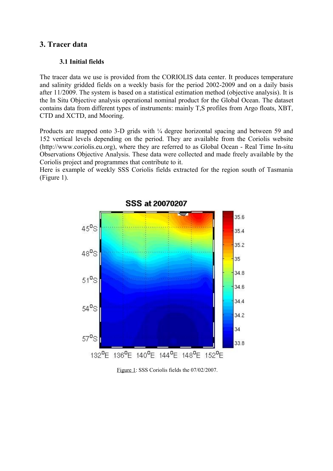## **3. Tracer data**

## **3.1 Initial fields**

The tracer data we use is provided from the CORIOLIS data center. It produces temperature and salinity gridded fields on a weekly basis for the period 2002-2009 and on a daily basis after 11/2009. The system is based on a statistical estimation method (objective analysis). It is the In Situ Objective analysis operational nominal product for the Global Ocean. The dataset contains data from different types of instruments: mainly T,S profiles from Argo floats, XBT, CTD and XCTD, and Mooring.

Products are mapped onto 3-D grids with  $\frac{1}{4}$  degree horizontal spacing and between 59 and 152 vertical levels depending on the period. They are available from the Coriolis website (http://www.coriolis.eu.org), where they are referred to as Global Ocean - Real Time In-situ Observations Objective Analysis. These data were collected and made freely available by the Coriolis project and programmes that contribute to it.

Here is example of weekly SSS Coriolis fields extracted for the region south of Tasmania (Figure 1).



Figure 1: SSS Coriolis fields the 07/02/2007.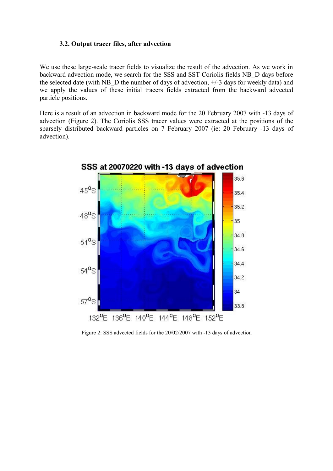#### **3.2. Output tracer files, after advection**

We use these large-scale tracer fields to visualize the result of the advection. As we work in backward advection mode, we search for the SSS and SST Coriolis fields NB\_D days before the selected date (with NB  $\overline{D}$  the number of days of advection,  $+/-3$  days for weekly data) and we apply the values of these initial tracers fields extracted from the backward advected particle positions.

Here is a result of an advection in backward mode for the 20 February 2007 with -13 days of advection (Figure 2). The Coriolis SSS tracer values were extracted at the positions of the sparsely distributed backward particles on 7 February 2007 (ie: 20 February -13 days of advection).



Figure 2: SSS advected fields for the 20/02/2007 with -13 days of advection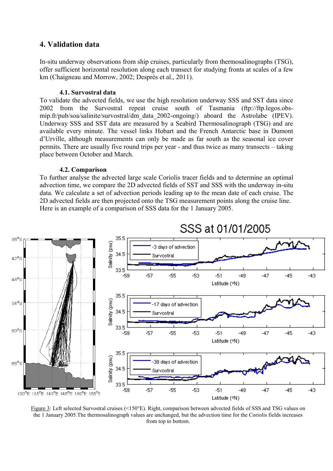## **4. Validation data**

In-situ underway observations from ship cruises, particularly from thermosalinographs (TSG), offer sufficient horizontal resolution along each transect for studying fronts at scales of a few km (Chaigneau and Morrow, 2002; Desprès et al., 2011).

#### **4.1. Survostral data**

To validate the advected fields, we use the high resolution underway SSS and SST data since 2002 from the Survostral repeat cruise south of Tasmania (ftp://ftp.legos.obsmip.fr/pub/soa/salinite/survostral/dm\_data\_2002-ongoing/) aboard the Astrolabe (IPEV). Underway SSS and SST data are measured by a Seabird Thermosalinograph (TSG) and are available every minute. The vessel links Hobart and the French Antarctic base in Dumont d'Urville, although measurements can only be made as far south as the seasonal ice cover permits. There are usually five round trips per year - and thus twice as many transects – taking place between October and March.

### **4.2. Comparison**

To further analyse the advected large scale Coriolis tracer fields and to determine an optimal advection time, we compare the 2D advected fields of SST and SSS with the underway in-situ data. We calculate a set of advection periods leading up to the mean date of each cruise. The 2D advected fields are then projected onto the TSG measurement points along the cruise line. Here is an example of a comparison of SSS data for the 1 January 2005.



Figure 3: Left selected Survostral cruises (<150°E). Right, comparison between advected fields of SSS and TSG values on the 1 January 2005.The thermosalinograph values are unchanged, but the advection time for the Coriolis fields increases from top to bottom.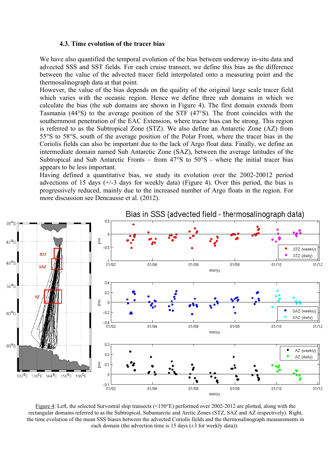#### **4.3. Time evolution of the tracer bias**

We have also quantified the temporal evolution of the bias between underway in-situ data and advected SSS and SST fields. For each cruise transect, we define this bias as the difference between the value of the advected tracer field interpolated onto a measuring point and the thermosalinograph data at that point.

However, the value of the bias depends on the quality of the original large scale tracer field which varies with the oceanic region. Hence we define three sub domains in which we calculate the bias (the sub domains are shown in Figure 4). The first domain extends from Tasmania (44°S) to the average position of the STF (47°S). The front coincides with the southernmost penetration of the EAC Extension, where tracer bias can be strong. This region is referred to as the Subtropical Zone (STZ). We also define an Antarctic Zone (AZ) from 55°S to 58°S, south of the average position of the Polar Front, where the tracer bias in the Coriolis fields can also be important due to the lack of Argo float data. Finally, we define an intermediate domain named Sub Antarctic Zone (SAZ), between the average latitudes of the Subtropical and Sub Antarctic Fronts – from 47°S to 50°S - where the initial tracer bias appears to be less important.

Having defined a quantitative bias, we study its evolution over the 2002-20012 period advections of 15 days  $(+/-3)$  days for weekly data) (Figure 4). Over this period, the bias is progressively reduced, mainly due to the increased number of Argo floats in the region. For more discussion see Dencausse et al. (2012).



Bias in SSS (advected field - thermosalinograph data)

Figure 4: Left, the selected Survostral ship transects ( $\leq 150^{\circ}$ E) performed over 2002-2012 are plotted, along with the rectangular domains referred to as the Subtropical, Subantarctic and Arctic Zones (STZ, SAZ and AZ respectively). Right, the time evolution of the mean SSS biases between the advected Coriolis fields and the thermosalinograph measurements in each domain (the advection time is 15 days  $(\pm 3$  for weekly data)).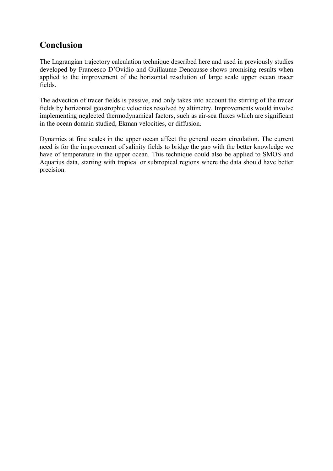# **Conclusion**

The Lagrangian trajectory calculation technique described here and used in previously studies developed by Francesco D'Ovidio and Guillaume Dencausse shows promising results when applied to the improvement of the horizontal resolution of large scale upper ocean tracer fields.

The advection of tracer fields is passive, and only takes into account the stirring of the tracer fields by horizontal geostrophic velocities resolved by altimetry. Improvements would involve implementing neglected thermodynamical factors, such as air-sea fluxes which are significant in the ocean domain studied, Ekman velocities, or diffusion.

Dynamics at fine scales in the upper ocean affect the general ocean circulation. The current need is for the improvement of salinity fields to bridge the gap with the better knowledge we have of temperature in the upper ocean. This technique could also be applied to SMOS and Aquarius data, starting with tropical or subtropical regions where the data should have better precision.